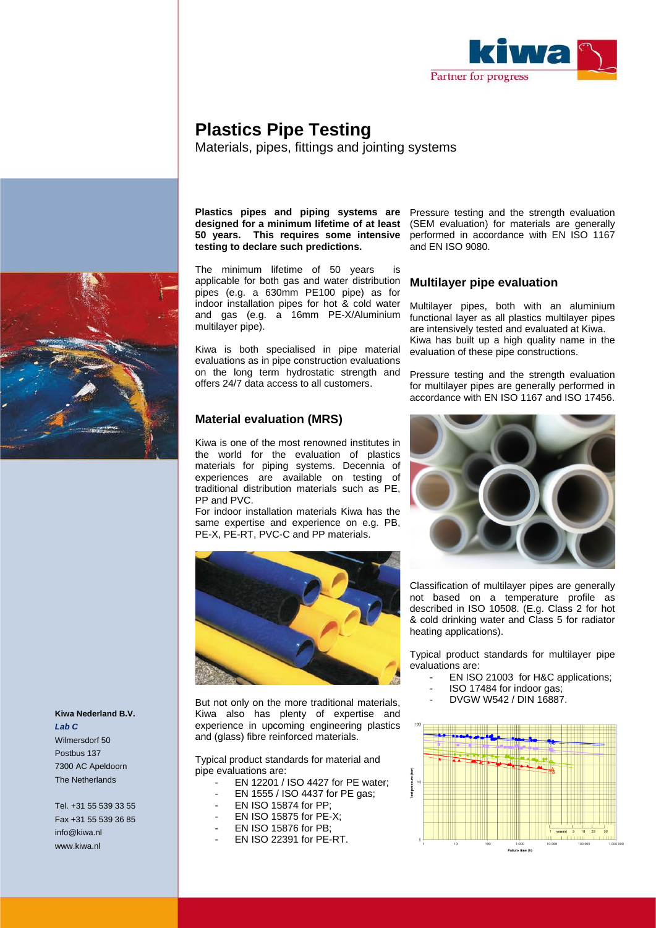

# **Plastics Pipe Testing**

Materials, pipes, fittings and jointing systems

## **Plastics pipes and piping systems are 50 years. This requires some intensive testing to declare such predictions.**

The minimum lifetime of 50 years applicable for both gas and water distribution pipes (e.g. a 630mm PE100 pipe) as for indoor installation pipes for hot & cold water and gas (e.g. a 16mm PE-X/Aluminium multilayer pipe).

Kiwa is both specialised in pipe material evaluations as in pipe construction evaluations on the long term hydrostatic strength and offers 24/7 data access to all customers.

## **Material evaluation (MRS)**

Kiwa is one of the most renowned institutes in the world for the evaluation of plastics materials for piping systems. Decennia of experiences are available on testing of traditional distribution materials such as PE, PP and PVC.

For indoor installation materials Kiwa has the same expertise and experience on e.g. PB, PE-X, PE-RT, PVC-C and PP materials.



But not only on the more traditional materials, Kiwa also has plenty of expertise and experience in upcoming engineering plastics and (glass) fibre reinforced materials.

Typical product standards for material and pipe evaluations are:

- EN 12201 / ISO 4427 for PE water;
- EN 1555 / ISO 4437 for PE gas;
- EN ISO 15874 for PP;
- EN ISO 15875 for PE-X:
- EN ISO 15876 for PB;
- EN ISO 22391 for PE-RT.

**designed for a minimum lifetime of at least**  (SEM evaluation) for materials are generally Pressure testing and the strength evaluation performed in accordance with EN ISO 1167 and EN ISO 9080.

### **Multilayer pipe evaluation**

Multilayer pipes, both with an aluminium functional layer as all plastics multilayer pipes are intensively tested and evaluated at Kiwa. Kiwa has built up a high quality name in the evaluation of these pipe constructions.

Pressure testing and the strength evaluation for multilayer pipes are generally performed in accordance with EN ISO 1167 and ISO 17456.



Classification of multilayer pipes are generally not based on a temperature profile as described in ISO 10508. (E.g. Class 2 for hot & cold drinking water and Class 5 for radiator heating applications).

Typical product standards for multilayer pipe evaluations are:

- EN ISO 21003 for H&C applications;
- ISO 17484 for indoor gas;
- DVGW W542 / DIN 16887.





**Kiwa Nederland B.V.** *Lab C* Wilmersdorf 50 Postbus 137 7300 AC Apeldoorn The Netherlands

Tel. +31 55 539 33 55 Fax +31 55 539 36 85 info@kiwa.nl www.kiwa.nl